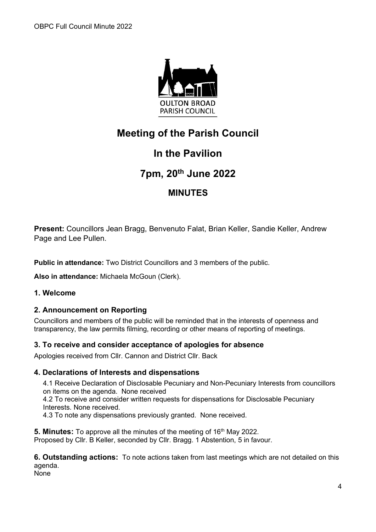

# **Meeting of the Parish Council**

# **In the Pavilion**

# **7pm, 20th June 2022**

# **MINUTES**

**Present:** Councillors Jean Bragg, Benvenuto Falat, Brian Keller, Sandie Keller, Andrew Page and Lee Pullen.

**Public in attendance:** Two District Councillors and 3 members of the public.

**Also in attendance:** Michaela McGoun (Clerk).

## **1. Welcome**

## **2. Announcement on Reporting**

Councillors and members of the public will be reminded that in the interests of openness and transparency, the law permits filming, recording or other means of reporting of meetings.

## **3. To receive and consider acceptance of apologies for absence**

Apologies received from Cllr. Cannon and District Cllr. Back

## **4. Declarations of Interests and dispensations**

4.1 Receive Declaration of Disclosable Pecuniary and Non-Pecuniary Interests from councillors on items on the agenda. None received 4.2 To receive and consider written requests for dispensations for Disclosable Pecuniary Interests. None received.

4.3 To note any dispensations previously granted. None received.

**5. Minutes:** To approve all the minutes of the meeting of 16<sup>th</sup> May 2022. Proposed by Cllr. B Keller, seconded by Cllr. Bragg. 1 Abstention, 5 in favour.

**6. Outstanding actions:** To note actions taken from last meetings which are not detailed on this agenda. None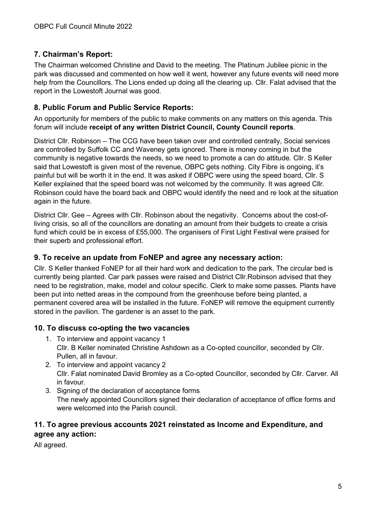# **7. Chairman's Report:**

The Chairman welcomed Christine and David to the meeting. The Platinum Jubilee picnic in the park was discussed and commented on how well it went, however any future events will need more help from the Councillors. The Lions ended up doing all the clearing up. Cllr. Falat advised that the report in the Lowestoft Journal was good.

## **8. Public Forum and Public Service Reports:**

An opportunity for members of the public to make comments on any matters on this agenda. This forum will include **receipt of any written District Council, County Council reports**.

District Cllr. Robinson – The CCG have been taken over and controlled centrally, Social services are controlled by Suffolk CC and Waveney gets ignored. There is money coming in but the community is negative towards the needs, so we need to promote a can do attitude. Cllr. S Keller said that Lowestoft is given most of the revenue, OBPC gets nothing. City Fibre is ongoing, it's painful but will be worth it in the end. It was asked if OBPC were using the speed board, Cllr. S Keller explained that the speed board was not welcomed by the community. It was agreed Cllr. Robinson could have the board back and OBPC would identify the need and re look at the situation again in the future.

District Cllr. Gee – Agrees with Cllr. Robinson about the negativity. Concerns about the cost-ofliving crisis, so all of the councillors are donating an amount from their budgets to create a crisis fund which could be in excess of £55,000. The organisers of First Light Festival were praised for their superb and professional effort.

#### **9. To receive an update from FoNEP and agree any necessary action:**

Cllr. S Keller thanked FoNEP for all their hard work and dedication to the park. The circular bed is currently being planted. Car park passes were raised and District Cllr.Robinson advised that they need to be registration, make, model and colour specific. Clerk to make some passes. Plants have been put into netted areas in the compound from the greenhouse before being planted, a permanent covered area will be installed in the future. FoNEP will remove the equipment currently stored in the pavilion. The gardener is an asset to the park.

#### **10. To discuss co-opting the two vacancies**

- 1. To interview and appoint vacancy 1 Cllr. B Keller nominated Christine Ashdown as a Co-opted councillor, seconded by Cllr. Pullen, all in favour.
- 2. To interview and appoint vacancy 2 Cllr. Falat nominated David Bromley as a Co-opted Councillor, seconded by Cllr. Carver. All in favour.
- 3. Signing of the declaration of acceptance forms The newly appointed Councillors signed their declaration of acceptance of office forms and were welcomed into the Parish council.

# **11. To agree previous accounts 2021 reinstated as Income and Expenditure, and agree any action:**

All agreed.